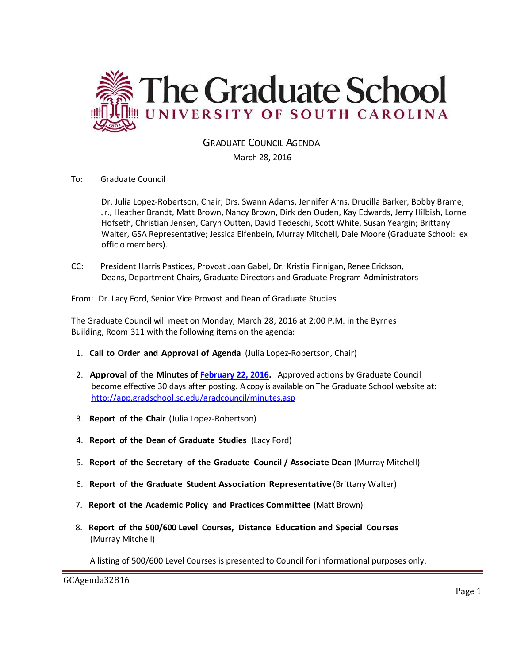

GRADUATE COUNCIL AGENDA

March 28, 2016

#### To: Graduate Council

Dr. Julia Lopez-Robertson, Chair; Drs. Swann Adams, Jennifer Arns, Drucilla Barker, Bobby Brame, Jr., Heather Brandt, Matt Brown, Nancy Brown, Dirk den Ouden, Kay Edwards, Jerry Hilbish, Lorne Hofseth, Christian Jensen, Caryn Outten, David Tedeschi, Scott White, Susan Yeargin; Brittany Walter, GSA Representative; Jessica Elfenbein, Murray Mitchell, Dale Moore (Graduate School: ex officio members).

CC: President Harris Pastides, Provost Joan Gabel, Dr. Kristia Finnigan, Renee Erickson, Deans, Department Chairs, Graduate Directors and Graduate Program Administrators

From: Dr. Lacy Ford, Senior Vice Provost and Dean of Graduate Studies

The Graduate Council will meet on Monday, March 28, 2016 at 2:00 P.M. in the Byrnes Building, Room 311 with the following items on the agenda:

- 1. **Call to Order and Approval of Agenda** (Julia Lopez-Robertson, Chair)
- 2. **Approval of the Minutes of [February 22, 2016.](http://gradschool.sc.edu/facstaff/gradcouncil/2015/GCMinutes20160222%20(mfm).pdf)** Approved actions by Graduate Council become effective 30 days after posting. A copy is available on The Graduate School website at: <http://app.gradschool.sc.edu/gradcouncil/minutes.asp>
- 3. **Report of the Chair** (Julia Lopez-Robertson)
- 4. **Report of the Dean of Graduate Studies** (Lacy Ford)
- 5. **Report of the Secretary of the Graduate Council / Associate Dean** (Murray Mitchell)
- 6. **Report of the Graduate Student Association Representative** (Brittany Walter)
- 7. **Report of the Academic Policy and Practices Committee** (Matt Brown)
- 8. **Report of the 500/600 Level Courses, Distance Education and Special Courses** (Murray Mitchell)

A listing of 500/600 Level Courses is presented to Council for informational purposes only.

GCAgenda32816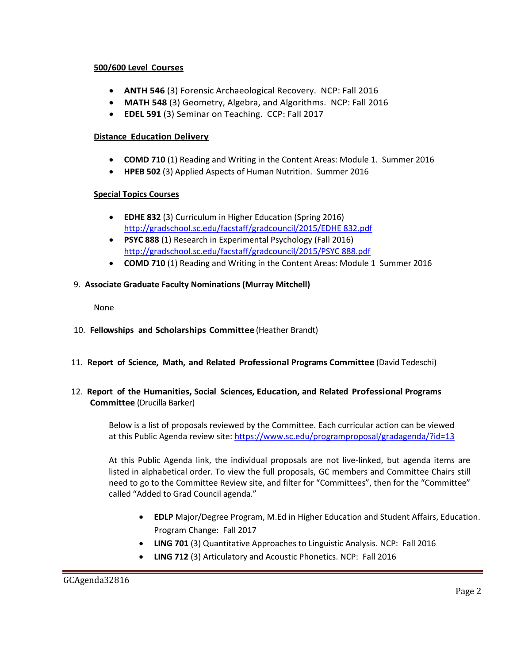#### **500/600 Level Courses**

- **ANTH 546** (3) Forensic Archaeological Recovery. NCP: Fall 2016
- **MATH 548** (3) Geometry, Algebra, and Algorithms. NCP: Fall 2016
- **EDEL 591** (3) Seminar on Teaching. CCP: Fall 2017

### **Distance Education Delivery**

- **COMD 710** (1) Reading and Writing in the Content Areas: Module 1. Summer 2016
- **HPEB 502** (3) Applied Aspects of Human Nutrition. Summer 2016

# **Special Topics Courses**

- **EDHE 832** (3) Curriculum in Higher Education (Spring 2016) [http://gradschool.sc.edu/facstaff/gradcouncil/2015/EDHE 832.pdf](http://gradschool.sc.edu/facstaff/gradcouncil/2015/EDHE%20832.pdf)
- **PSYC 888** (1) Research in Experimental Psychology (Fall 2016) [http://gradschool.sc.edu/facstaff/gradcouncil/2015/PSYC 888.pdf](http://gradschool.sc.edu/facstaff/gradcouncil/2015/PSYC%20888.pdf)
- **COMD 710** (1) Reading and Writing in the Content Areas: Module 1 Summer 2016

# 9. **Associate Graduate Faculty Nominations (Murray Mitchell)**

None

- 10. **Fellowships and Scholarships Committee** (Heather Brandt)
- 11. **Report of Science, Math, and Related Professional Programs Committee** (David Tedeschi)

### 12. **Report of the Humanities, Social Sciences, Education, and Related Professional Programs Committee** (Drucilla Barker)

Below is a list of proposals reviewed by the Committee. Each curricular action can be viewed at this Public Agenda review site:<https://www.sc.edu/programproposal/gradagenda/?id=13>

At this Public Agenda link, the individual proposals are not live-linked, but agenda items are listed in alphabetical order. To view the full proposals, GC members and Committee Chairs still need to go to the Committee Review site, and filter for "Committees", then for the "Committee" called "Added to Grad Council agenda."

- **EDLP** Major/Degree Program, M.Ed in Higher Education and Student Affairs, Education. Program Change: Fall 2017
- **LING 701** (3) Quantitative Approaches to Linguistic Analysis. NCP: Fall 2016
- **LING 712** (3) Articulatory and Acoustic Phonetics. NCP: Fall 2016